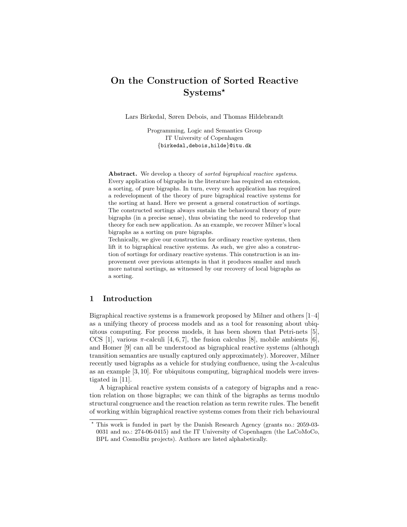# On the Construction of Sorted Reactive Systems?

Lars Birkedal, Søren Debois, and Thomas Hildebrandt

Programming, Logic and Semantics Group IT University of Copenhagen {birkedal,debois,hilde}@itu.dk

Abstract. We develop a theory of *sorted bigraphical reactive systems*. Every application of bigraphs in the literature has required an extension, a sorting, of pure bigraphs. In turn, every such application has required a redevelopment of the theory of pure bigraphical reactive systems for the sorting at hand. Here we present a general construction of sortings. The constructed sortings always sustain the behavioural theory of pure bigraphs (in a precise sense), thus obviating the need to redevelop that theory for each new application. As an example, we recover Milner's local bigraphs as a sorting on pure bigraphs.

Technically, we give our construction for ordinary reactive systems, then lift it to bigraphical reactive systems. As such, we give also a construction of sortings for ordinary reactive systems. This construction is an improvement over previous attempts in that it produces smaller and much more natural sortings, as witnessed by our recovery of local bigraphs as a sorting.

# 1 Introduction

Bigraphical reactive systems is a framework proposed by Milner and others [1–4] as a unifying theory of process models and as a tool for reasoning about ubiquitous computing. For process models, it has been shown that Petri-nets [5], CCS [1], various  $\pi$ -calculi [4, 6, 7], the fusion calculus [8], mobile ambients [6], and Homer [9] can all be understood as bigraphical reactive systems (although transition semantics are usually captured only approximately). Moreover, Milner recently used bigraphs as a vehicle for studying confluence, using the  $\lambda$ -calculus as an example [3, 10]. For ubiquitous computing, bigraphical models were investigated in [11].

A bigraphical reactive system consists of a category of bigraphs and a reaction relation on those bigraphs; we can think of the bigraphs as terms modulo structural congruence and the reaction relation as term rewrite rules. The benefit of working within bigraphical reactive systems comes from their rich behavioural

<sup>?</sup> This work is funded in part by the Danish Research Agency (grants no.: 2059-03- 0031 and no.: 274-06-0415) and the IT University of Copenhagen (the LaCoMoCo, BPL and CosmoBiz projects). Authors are listed alphabetically.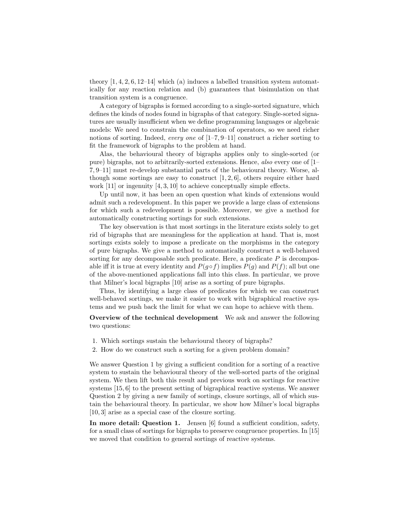theory  $[1, 4, 2, 6, 12-14]$  which (a) induces a labelled transition system automatically for any reaction relation and (b) guarantees that bisimulation on that transition system is a congruence.

A category of bigraphs is formed according to a single-sorted signature, which defines the kinds of nodes found in bigraphs of that category. Single-sorted signatures are usually insufficient when we define programming languages or algebraic models: We need to constrain the combination of operators, so we need richer notions of sorting. Indeed, *every one* of  $[1-7, 9-11]$  construct a richer sorting to fit the framework of bigraphs to the problem at hand.

Alas, the behavioural theory of bigraphs applies only to single-sorted (or pure) bigraphs, not to arbitrarily-sorted extensions. Hence, also every one of [1– 7, 9–11] must re-develop substantial parts of the behavioural theory. Worse, although some sortings are easy to construct  $[1, 2, 6]$ , others require either hard work [11] or ingenuity [4, 3, 10] to achieve conceptually simple effects.

Up until now, it has been an open question what kinds of extensions would admit such a redevelopment. In this paper we provide a large class of extensions for which such a redevelopment is possible. Moreover, we give a method for automatically constructing sortings for such extensions.

The key observation is that most sortings in the literature exists solely to get rid of bigraphs that are meaningless for the application at hand. That is, most sortings exists solely to impose a predicate on the morphisms in the category of pure bigraphs. We give a method to automatically construct a well-behaved sorting for any decomposable such predicate. Here, a predicate  $P$  is decomposable iff it is true at every identity and  $P(q \circ f)$  implies  $P(q)$  and  $P(f)$ ; all but one of the above-mentioned applications fall into this class. In particular, we prove that Milner's local bigraphs [10] arise as a sorting of pure bigraphs.

Thus, by identifying a large class of predicates for which we can construct well-behaved sortings, we make it easier to work with bigraphical reactive systems and we push back the limit for what we can hope to achieve with them.

Overview of the technical development We ask and answer the following two questions:

- 1. Which sortings sustain the behavioural theory of bigraphs?
- 2. How do we construct such a sorting for a given problem domain?

We answer Question 1 by giving a sufficient condition for a sorting of a reactive system to sustain the behavioural theory of the well-sorted parts of the original system. We then lift both this result and previous work on sortings for reactive systems [15, 6] to the present setting of bigraphical reactive systems. We answer Question 2 by giving a new family of sortings, closure sortings, all of which sustain the behavioural theory. In particular, we show how Milner's local bigraphs [10, 3] arise as a special case of the closure sorting.

In more detail: Question 1. Jensen [6] found a sufficient condition, safety, for a small class of sortings for bigraphs to preserve congruence properties. In [15] we moved that condition to general sortings of reactive systems.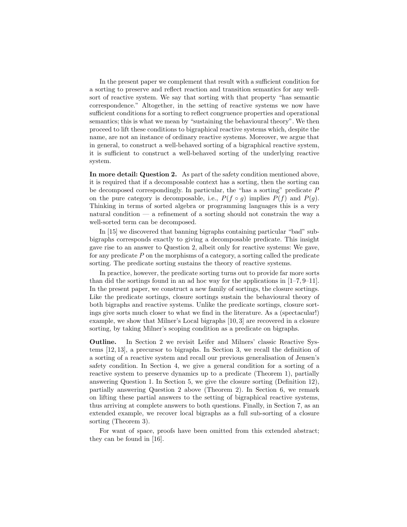In the present paper we complement that result with a sufficient condition for a sorting to preserve and reflect reaction and transition semantics for any wellsort of reactive system. We say that sorting with that property "has semantic correspondence." Altogether, in the setting of reactive systems we now have sufficient conditions for a sorting to reflect congruence properties and operational semantics; this is what we mean by "sustaining the behavioural theory". We then proceed to lift these conditions to bigraphical reactive systems which, despite the name, are not an instance of ordinary reactive systems. Moreover, we argue that in general, to construct a well-behaved sorting of a bigraphical reactive system, it is sufficient to construct a well-behaved sorting of the underlying reactive system.

In more detail: Question 2. As part of the safety condition mentioned above, it is required that if a decomposable context has a sorting, then the sorting can be decomposed correspondingly. In particular, the "has a sorting" predicate P on the pure category is decomposable, i.e.,  $P(f \circ g)$  implies  $P(f)$  and  $P(g)$ . Thinking in terms of sorted algebra or programming languages this is a very natural condition — a refinement of a sorting should not constrain the way a well-sorted term can be decomposed.

In [15] we discovered that banning bigraphs containing particular "bad" subbigraphs corresponds exactly to giving a decomposable predicate. This insight gave rise to an answer to Question 2, albeit only for reactive systems: We gave, for any predicate  $P$  on the morphisms of a category, a sorting called the predicate sorting. The predicate sorting sustains the theory of reactive systems.

In practice, however, the predicate sorting turns out to provide far more sorts than did the sortings found in an ad hoc way for the applications in [1–7, 9–11]. In the present paper, we construct a new family of sortings, the closure sortings. Like the predicate sortings, closure sortings sustain the behavioural theory of both bigraphs and reactive systems. Unlike the predicate sortings, closure sortings give sorts much closer to what we find in the literature. As a (spectacular!) example, we show that Milner's Local bigraphs [10, 3] are recovered in a closure sorting, by taking Milner's scoping condition as a predicate on bigraphs.

Outline. In Section 2 we revisit Leifer and Milners' classic Reactive Systems [12, 13], a precursor to bigraphs. In Section 3, we recall the definition of a sorting of a reactive system and recall our previous generalisation of Jensen's safety condition. In Section 4, we give a general condition for a sorting of a reactive system to preserve dynamics up to a predicate (Theorem 1), partially answering Question 1. In Section 5, we give the closure sorting (Definition 12), partially answering Question 2 above (Theorem 2). In Section 6, we remark on lifting these partial answers to the setting of bigraphical reactive systems, thus arriving at complete answers to both questions. Finally, in Section 7, as an extended example, we recover local bigraphs as a full sub-sorting of a closure sorting (Theorem 3).

For want of space, proofs have been omitted from this extended abstract; they can be found in [16].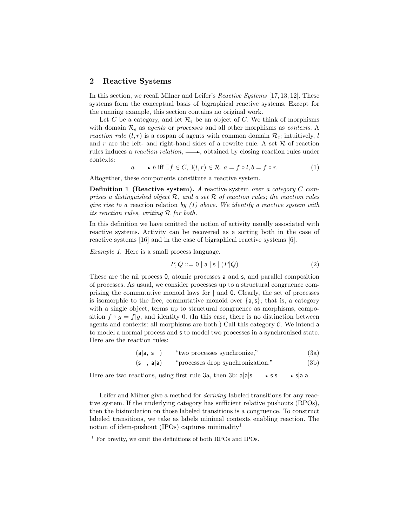#### 2 Reactive Systems

In this section, we recall Milner and Leifer's Reactive Systems [17, 13, 12]. These systems form the conceptual basis of bigraphical reactive systems. Except for the running example, this section contains no original work.

Let C be a category, and let  $\mathcal{R}_{\epsilon}$  be an object of C. We think of morphisms with domain  $\mathcal{R}_{\epsilon}$  as agents or processes and all other morphisms as contexts. A reaction rule  $(l, r)$  is a cospan of agents with common domain  $\mathcal{R}_{\epsilon}$ ; intuitively, l and r are the left- and right-hand sides of a rewrite rule. A set  $\mathcal R$  of reaction rules induces a *reaction relation*,  $\longrightarrow$ , obtained by closing reaction rules under contexts:

$$
a \longrightarrow b \text{ iff } \exists f \in C, \exists (l, r) \in \mathcal{R}. a = f \circ l, b = f \circ r. \tag{1}
$$

Altogether, these components constitute a reactive system.

**Definition 1 (Reactive system).** A reactive system over a category C comprises a distinguished object  $\mathcal{R}_{\epsilon}$  and a set  $\mathcal R$  of reaction rules; the reaction rules give rise to a reaction relation by  $(1)$  above. We identify a reactive system with its reaction rules, writing R for both.

In this definition we have omitted the notion of activity usually associated with reactive systems. Activity can be recovered as a sorting both in the case of reactive systems [16] and in the case of bigraphical reactive systems [6].

Example 1. Here is a small process language.

$$
P, Q ::= 0 | \mathsf{a} | \mathsf{s} | (P|Q)
$$
\n<sup>(2)</sup>

These are the nil process 0, atomic processes a and s, and parallel composition of processes. As usual, we consider processes up to a structural congruence comprising the commutative monoid laws for | and 0. Clearly, the set of processes is isomorphic to the free, commutative monoid over  $\{a, s\}$ ; that is, a category with a single object, terms up to structural congruence as morphisms, composition  $f \circ g = f|g$ , and identity 0. (In this case, there is no distinction between agents and contexts: all morphisms are both.) Call this category  $C$ . We intend a to model a normal process and s to model two processes in a synchronized state. Here are the reaction rules:

$$
(a|a, s) \qquad "two processes synchronize," \tag{3a}
$$

(s , a|a) "processes drop synchronization." (3b)

Here are two reactions, using first rule 3a, then 3b:  $a|a|s \longrightarrow s|s \longrightarrow s|a|a$ .

Leifer and Milner give a method for *deriving* labeled transitions for any reactive system. If the underlying category has sufficient relative pushouts (RPOs), then the bisimulation on those labeled transitions is a congruence. To construct labeled transitions, we take as labels minimal contexts enabling reaction. The notion of idem-pushout (IPOs) captures minimality<sup>1</sup>

 $1$  For brevity, we omit the definitions of both RPOs and IPOs.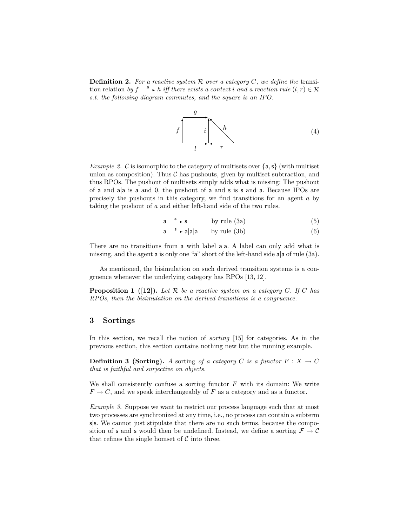**Definition 2.** For a reactive system  $\mathcal{R}$  over a category  $C$ , we define the transition relation by  $f \stackrel{g}{\longrightarrow} h$  iff there exists a context i and a reaction rule  $(l, r) \in \mathcal{R}$ s.t. the following diagram commutes, and the square is an IPO.



*Example 2.* C is isomorphic to the category of multisets over  $\{a, s\}$  (with multiset union as composition). Thus  $C$  has pushouts, given by multiset subtraction, and thus RPOs. The pushout of multisets simply adds what is missing: The pushout of a and a|a is a and 0, the pushout of a and s is s and a. Because IPOs are precisely the pushouts in this category, we find transitions for an agent a by taking the pushout of a and either left-hand side of the two rules.

$$
a \xrightarrow{a} s \qquad \text{by rule (3a)} \tag{5}
$$

$$
a \xrightarrow{s} a|a|a \qquad \text{by rule (3b)} \tag{6}
$$

There are no transitions from a with label a|a. A label can only add what is missing, and the agent **a** is only one "**a**" short of the left-hand side **a**|a of rule (3a).

As mentioned, the bisimulation on such derived transition systems is a congruence whenever the underlying category has RPOs [13, 12].

**Proposition 1** ([12]). Let R be a reactive system on a category C. If C has RPOs, then the bisimulation on the derived transitions is a congruence.

#### 3 Sortings

In this section, we recall the notion of sorting [15] for categories. As in the previous section, this section contains nothing new but the running example.

**Definition 3 (Sorting).** A sorting of a category C is a functor  $F: X \to C$ that is faithful and surjective on objects.

We shall consistently confuse a sorting functor  $F$  with its domain: We write  $F \to C$ , and we speak interchangeably of F as a category and as a functor.

Example 3. Suppose we want to restrict our process language such that at most two processes are synchronized at any time, i.e., no process can contain a subterm s. We cannot just stipulate that there are no such terms, because the composition of **s** and **s** would then be undefined. Instead, we define a sorting  $\mathcal{F} \to \mathcal{C}$ that refines the single homset of  $\mathcal C$  into three.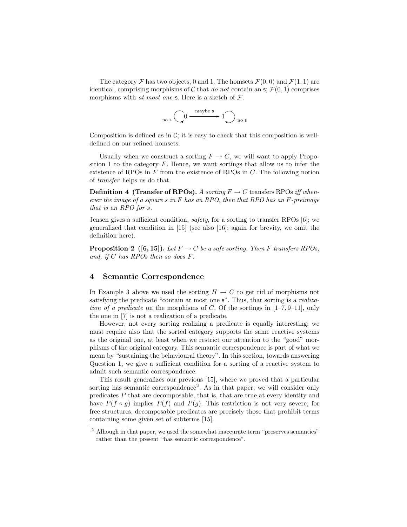The category  $\mathcal F$  has two objects, 0 and 1. The homsets  $\mathcal F(0,0)$  and  $\mathcal F(1,1)$  are identical, comprising morphisms of C that do not contain an  $\mathbf{s}$ ;  $\mathcal{F}(0, 1)$  comprises morphisms with at most one s. Here is a sketch of  $\mathcal{F}$ .

$$
T_{\text{no s}} \bigodot 0 \xrightarrow{\text{maybe s}} 1 \bigodot \text{no s}
$$

Composition is defined as in  $\mathcal{C}$ ; it is easy to check that this composition is welldefined on our refined homsets.

Usually when we construct a sorting  $F \to C$ , we will want to apply Proposition 1 to the category  $F$ . Hence, we want sortings that allow us to infer the existence of RPOs in  $F$  from the existence of RPOs in  $C$ . The following notion of transfer helps us do that.

**Definition 4 (Transfer of RPOs).** A sorting  $F \to C$  transfers RPOs iff whenever the image of a square s in  $F$  has an RPO, then that RPO has an  $F$ -preimage that is an RPO for s.

Jensen gives a sufficient condition, safety, for a sorting to transfer RPOs [6]; we generalized that condition in [15] (see also [16]; again for brevity, we omit the definition here).

**Proposition 2** ([6, 15]). Let  $F \to C$  be a safe sorting. Then F transfers RPOs, and, if C has RPOs then so does F.

# 4 Semantic Correspondence

In Example 3 above we used the sorting  $H \to C$  to get rid of morphisms not satisfying the predicate "contain at most one s". Thus, that sorting is a *realiza*tion of a predicate on the morphisms of C. Of the sortings in  $[1-7, 9-11]$ , only the one in [7] is not a realization of a predicate.

However, not every sorting realizing a predicate is equally interesting; we must require also that the sorted category supports the same reactive systems as the original one, at least when we restrict our attention to the "good" morphisms of the original category. This semantic correspondence is part of what we mean by "sustaining the behavioural theory". In this section, towards answering Question 1, we give a sufficient condition for a sorting of a reactive system to admit such semantic correspondence.

This result generalizes our previous [15], where we proved that a particular sorting has semantic correspondence<sup>2</sup>. As in that paper, we will consider only predicates P that are decomposable, that is, that are true at every identity and have  $P(f \circ g)$  implies  $P(f)$  and  $P(g)$ . This restriction is not very severe; for free structures, decomposable predicates are precisely those that prohibit terms containing some given set of subterms [15].

<sup>&</sup>lt;sup>2</sup> Alhough in that paper, we used the somewhat inaccurate term "preserves semantics" rather than the present "has semantic correspondence".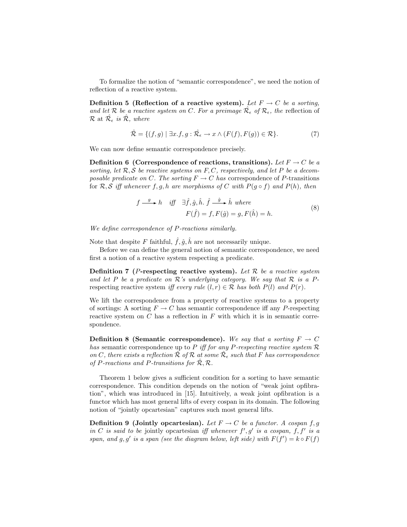To formalize the notion of "semantic correspondence", we need the notion of reflection of a reactive system.

Definition 5 (Reflection of a reactive system). Let  $F \to C$  be a sorting, and let R be a reactive system on C. For a preimage  $\hat{\mathcal{R}}_{\epsilon}$  of  $\mathcal{R}_{\epsilon}$ , the reflection of  $\mathcal R$  at  $\hat{\mathcal R}_{\epsilon}$  is  $\hat{\mathcal R},$  where

$$
\hat{\mathcal{R}} = \{ (f, g) \mid \exists x. f, g : \hat{\mathcal{R}}_{\epsilon} \to x \land (F(f), F(g)) \in \mathcal{R} \}. \tag{7}
$$

We can now define semantic correspondence precisely.

Definition 6 (Correspondence of reactions, transitions). Let  $F \to C$  be a sorting, let  $\mathcal{R}, \mathcal{S}$  be reactive systems on  $F, C$ , respectively, and let P be a decomposable predicate on C. The sorting  $F \to C$  has correspondence of P-transitions for  $R, S$  iff whenever  $f, g, h$  are morphisms of C with  $P(g \circ f)$  and  $P(h)$ , then

$$
f \xrightarrow{g} h \quad \text{iff} \quad \exists \hat{f}, \hat{g}, \hat{h}. \quad \hat{f} \xrightarrow{\hat{g}} \hat{h} \quad \text{where}
$$

$$
F(\hat{f}) = f, F(\hat{g}) = g, F(\hat{h}) = h.
$$

$$
(8)
$$

We define correspondence of P-reactions similarly.

Note that despite F faithful,  $\hat{f}, \hat{g}, \hat{h}$  are not necessarily unique.

Before we can define the general notion of semantic correspondence, we need first a notion of a reactive system respecting a predicate.

**Definition 7** (*P*-respecting reactive system). Let  $R$  be a reactive system and let P be a predicate on  $\mathcal{R}$ 's underlying category. We say that  $\mathcal{R}$  is a Prespecting reactive system iff every rule  $(l, r) \in \mathcal{R}$  has both  $P(l)$  and  $P(r)$ .

We lift the correspondence from a property of reactive systems to a property of sortings: A sorting  $F \to C$  has semantic correspondence iff any P-respecting reactive system on  $C$  has a reflection in  $F$  with which it is in semantic correspondence.

**Definition 8 (Semantic correspondence).** We say that a sorting  $F \rightarrow C$ has semantic correspondence up to P iff for any P-respecting reactive system  $\mathcal R$ on C, there exists a reflection  $\hat{\mathcal{R}}$  of  $\mathcal R$  at some  $\hat{\mathcal{R}}_{\epsilon}$  such that F has correspondence of P-reactions and P-transitions for  $\mathcal{R}, \mathcal{R}$ .

Theorem 1 below gives a sufficient condition for a sorting to have semantic correspondence. This condition depends on the notion of "weak joint opfibration", which was introduced in [15]. Intuitively, a weak joint opfibration is a functor which has most general lifts of every cospan in its domain. The following notion of "jointly opcartesian" captures such most general lifts.

**Definition 9 (Jointly opcartesian).** Let  $F \to C$  be a functor. A cospan f, q in C is said to be jointly opcartesian iff whenever  $f', g'$  is a cospan, f, f' is a span, and g, g' is a span (see the diagram below, left side) with  $F(f') = k \circ F(f)$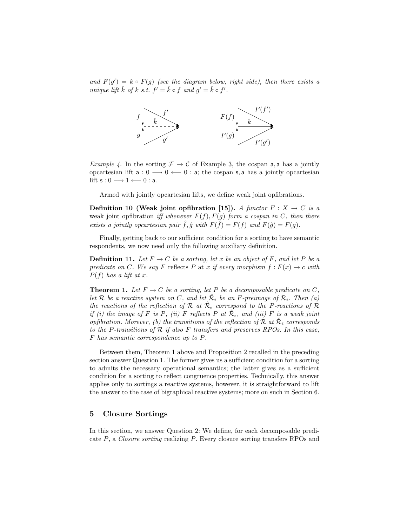and  $F(g') = k \circ F(g)$  (see the diagram below, right side), then there exists a unique lift  $\hat{k}$  of  $k$  s.t.  $f' = \hat{k} \circ f$  and  $g' = \hat{k} \circ f'$ .



*Example 4.* In the sorting  $\mathcal{F} \to \mathcal{C}$  of Example 3, the cospan a, a has a jointly opcartesian lift  $a: 0 \longrightarrow 0 \longleftarrow 0$ : a; the cospan s, a has a jointly opcartesian lift  $s: 0 \longrightarrow 1 \longleftarrow 0$ : a.

Armed with jointly opcartesian lifts, we define weak joint opfibrations.

**Definition 10 (Weak joint opfibration [15]).** A functor  $F: X \to C$  is a weak joint opfibration iff whenever  $F(f)$ ,  $F(g)$  form a cospan in C, then there exists a jointly opcartesian pair  $\hat{f}, \hat{g}$  with  $F(\hat{f}) = F(f)$  and  $F(\hat{g}) = F(g)$ .

Finally, getting back to our sufficient condition for a sorting to have semantic respondents, we now need only the following auxiliary definition.

**Definition 11.** Let  $F \to C$  be a sorting, let x be an object of F, and let P be a predicate on C. We say F reflects P at x if every morphism  $f: F(x) \to c$  with  $P(f)$  has a lift at x.

**Theorem 1.** Let  $F \to C$  be a sorting, let P be a decomposable predicate on C. let R be a reactive system on C, and let  $\hat{\mathcal{R}}_{\epsilon}$  be an F-preimage of  $\mathcal{R}_{\epsilon}$ . Then (a) the reactions of the reflection of  $\mathcal R$  at  $\hat{\mathcal R}_\epsilon$  correspond to the P-reactions of  $\hat{\mathcal R}$ if (i) the image of F is P, (ii) F reflects P at  $\hat{\mathcal{R}}_{\epsilon}$ , and (iii) F is a weak joint opfibration. Morever, (b) the transitions of the reflection of  $\mathcal{R}$  at  $\hat{\mathcal{R}}_{\epsilon}$  corresponds to the P-transitions of  $R$  if also F transfers and preserves RPOs. In this case, F has semantic correspondence up to P.

Between them, Theorem 1 above and Proposition 2 recalled in the preceding section answer Question 1. The former gives us a sufficient condition for a sorting to admits the necessary operational semantics; the latter gives as a sufficient condition for a sorting to reflect congruence properties. Technically, this answer applies only to sortings a reactive systems, however, it is straightforward to lift the answer to the case of bigraphical reactive systems; more on such in Section 6.

# 5 Closure Sortings

In this section, we answer Question 2: We define, for each decomposable predicate P, a Closure sorting realizing P. Every closure sorting transfers RPOs and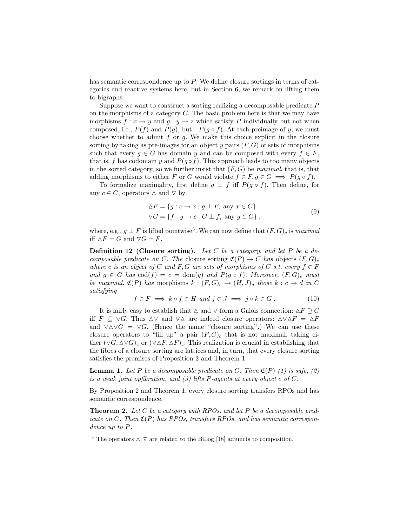has semantic correspondence up to P. We define closure sortings in terms of categories and reactive systems here, but in Section 6, we remark on lifting them to bigraphs.

Suppose we want to construct a sorting realizing a decomposable predicate P on the morphisms of a category  $C$ . The basic problem here is that we may have morphisms  $f: x \to y$  and  $g: y \to z$  which satisfy P individually but not when composed, i.e.,  $P(f)$  and  $P(g)$ , but  $\neg P(g \circ f)$ . At each preimage of y, we must choose whether to admit  $f$  or  $g$ . We make this choice explicit in the closure sorting by taking as pre-images for an object y pairs  $(F, G)$  of sets of morphisms such that every  $g \in G$  has domain y and can be composed with every  $f \in F$ , that is, f has codomain y and  $P(g \circ f)$ . This approach leads to too many objects in the sorted category, so we further insist that  $(F, G)$  be maximal, that is, that adding morphisms to either F or G would violate  $f \in F, q \in G \implies P(q \circ f)$ .

To formalize maximality, first define  $g \perp f$  iff  $P(g \circ f)$ . Then define, for any  $c \in C$ , operators  $\Delta$  and  $\nabla$  by

$$
\Delta F = \{ g : c \to x \mid g \perp F, \text{ any } x \in C \}
$$
  

$$
\nabla G = \{ f : y \to c \mid G \perp f, \text{ any } y \in C \},
$$
  
(9)

where, e.g.,  $g \perp F$  is lifted pointwise<sup>3</sup>. We can now define that  $(F, G)_c$  is *maximal* iff  $\Delta F = G$  and  $\nabla G = F$ .

**Definition 12 (Closure sorting).** Let C be a category, and let P be a decomposable predicate on C. The closure sorting  $\mathfrak{C}(P) \to C$  has objects  $(F, G)_c$ where c is an object of C and F, G are sets of morphisms of C s.t. every  $f \in F$ and  $g \in G$  has  $\text{cod}(f) = c = \text{dom}(g)$  and  $P(g \circ f)$ . Moreover,  $(F, G)_c$  must be maximal.  $\mathfrak{C}(P)$  has morphisms  $k : (F, G)_c \to (H, J)_d$  those  $k : c \to d$  in C satisfying

$$
f \in F \implies k \circ f \in H \text{ and } j \in J \implies j \circ k \in G. \tag{10}
$$

It is fairly easy to establish that  $\Delta$  and  $\nabla$  form a Galois connection:  $\Delta F \supset G$ iff  $F \subseteq \nabla G$ . Thus  $\Delta \nabla$  and  $\nabla \Delta$  are indeed closure operators:  $\Delta \nabla \Delta F = \Delta F$ and  $\nabla \Delta \nabla G = \nabla G$ . (Hence the name "closure sorting".) We can use these closure operators to "fill up" a pair  $(F, G)_c$  that is not maximal, taking either  $(\nabla G, \Delta \nabla G)_c$  or  $(\nabla \Delta F, \Delta F)_c$ . This realization is crucial in establishing that the fibres of a closure sorting are lattices and, in turn, that every closure sorting satisfies the premises of Proposition 2 and Theorem 1.

**Lemma 1.** Let P be a decomposable predicate on C. Then  $\mathfrak{C}(P)$  (1) is safe, (2) is a weak joint opfibration, and  $(3)$  lifts P-agents at every object c of C.

By Proposition 2 and Theorem 1, every closure sorting transfers RPOs and has semantic correspondence.

**Theorem 2.** Let C be a category with RPOs, and let P be a decomposable predicate on C. Then  $\mathfrak{C}(P)$  has RPOs, transfers RPOs, and has semantic correspondence up to P.

<sup>&</sup>lt;sup>3</sup> The operators  $\Delta$ ,  $\nabla$  are related to the BiLog [18] adjuncts to composition.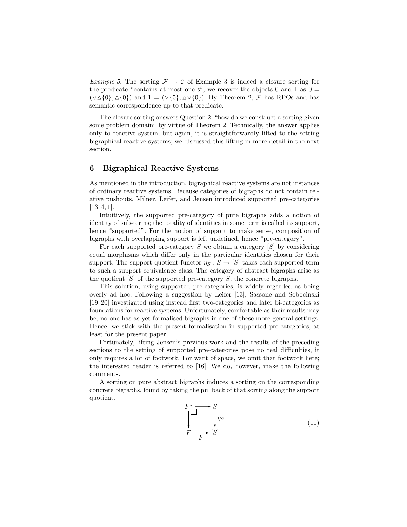Example 5. The sorting  $\mathcal{F} \to \mathcal{C}$  of Example 3 is indeed a closure sorting for the predicate "contains at most one  $s$ "; we recover the objects 0 and 1 as  $0 =$  $(\nabla \Delta \{0\}, \Delta \{0\})$  and  $1 = (\nabla \{0\}, \Delta \nabla \{0\})$ . By Theorem 2, F has RPOs and has semantic correspondence up to that predicate.

The closure sorting answers Question 2, "how do we construct a sorting given some problem domain" by virtue of Theorem 2. Technically, the answer applies only to reactive system, but again, it is straightforwardly lifted to the setting bigraphical reactive systems; we discussed this lifting in more detail in the next section.

# 6 Bigraphical Reactive Systems

As mentioned in the introduction, bigraphical reactive systems are not instances of ordinary reactive systems. Because categories of bigraphs do not contain relative pushouts, Milner, Leifer, and Jensen introduced supported pre-categories [13, 4, 1].

Intuitively, the supported pre-category of pure bigraphs adds a notion of identity of sub-terms; the totality of identities in some term is called its support, hence "supported". For the notion of support to make sense, composition of bigraphs with overlapping support is left undefined, hence "pre-category".

For each supported pre-category  $S$  we obtain a category  $[S]$  by considering equal morphisms which differ only in the particular identities chosen for their support. The support quotient functor  $\eta_S : S \to [S]$  takes each supported term to such a support equivalence class. The category of abstract bigraphs arise as the quotient  $[S]$  of the supported pre-category S, the concrete bigraphs.

This solution, using supported pre-categories, is widely regarded as being overly ad hoc. Following a suggestion by Leifer [13], Sassone and Sobocinski [19, 20] investigated using instead first two-categories and later bi-categories as foundations for reactive systems. Unfortunately, comfortable as their results may be, no one has as yet formalised bigraphs in one of these more general settings. Hence, we stick with the present formalisation in supported pre-categories, at least for the present paper.

Fortunately, lifting Jensen's previous work and the results of the preceding sections to the setting of supported pre-categories pose no real difficulties, it only requires a lot of footwork. For want of space, we omit that footwork here; the interested reader is referred to [16]. We do, however, make the following comments.

A sorting on pure abstract bigraphs induces a sorting on the corresponding concrete bigraphs, found by taking the pullback of that sorting along the support quotient.

$$
F^* \longrightarrow S
$$
  
\n
$$
\downarrow \eta_S
$$
  
\n
$$
F \longrightarrow [S]
$$
  
\n
$$
(11)
$$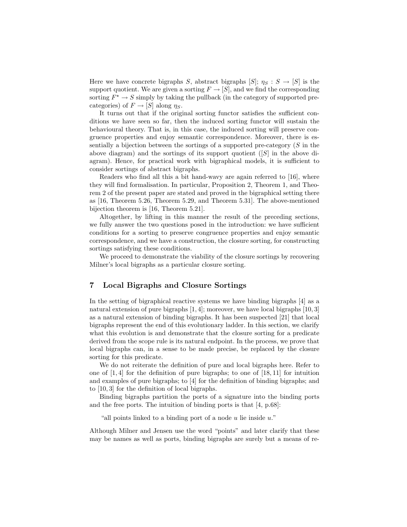Here we have concrete bigraphs S, abstract bigraphs  $[S]$ ;  $\eta_S : S \to [S]$  is the support quotient. We are given a sorting  $F \to [S]$ , and we find the corresponding sorting  $F^* \to S$  simply by taking the pullback (in the category of supported precategories) of  $F \to [S]$  along  $\eta_S$ .

It turns out that if the original sorting functor satisfies the sufficient conditions we have seen so far, then the induced sorting functor will sustain the behavioural theory. That is, in this case, the induced sorting will preserve congruence properties and enjoy semantic correspondence. Moreover, there is essentially a bijection between the sortings of a supported pre-category  $(S$  in the above diagram) and the sortings of its support quotient  $\left( \left[ S \right]$  in the above diagram). Hence, for practical work with bigraphical models, it is sufficient to consider sortings of abstract bigraphs.

Readers who find all this a bit hand-wavy are again referred to [16], where they will find formalisation. In particular, Proposition 2, Theorem 1, and Theorem 2 of the present paper are stated and proved in the bigraphical setting there as [16, Theorem 5.26, Theorem 5.29, and Theorem 5.31]. The above-mentioned bijection theorem is [16, Theorem 5.21].

Altogether, by lifting in this manner the result of the preceding sections, we fully answer the two questions posed in the introduction: we have sufficient conditions for a sorting to preserve congruence properties and enjoy semantic correspondence, and we have a construction, the closure sorting, for constructing sortings satisfying these conditions.

We proceed to demonstrate the viability of the closure sortings by recovering Milner's local bigraphs as a particular closure sorting.

# 7 Local Bigraphs and Closure Sortings

In the setting of bigraphical reactive systems we have binding bigraphs [4] as a natural extension of pure bigraphs  $[1, 4]$ ; moreover, we have local bigraphs  $[10, 3]$ as a natural extension of binding bigraphs. It has been suspected [21] that local bigraphs represent the end of this evolutionary ladder. In this section, we clarify what this evolution is and demonstrate that the closure sorting for a predicate derived from the scope rule is its natural endpoint. In the process, we prove that local bigraphs can, in a sense to be made precise, be replaced by the closure sorting for this predicate.

We do not reiterate the definition of pure and local bigraphs here. Refer to one of [1, 4] for the definition of pure bigraphs; to one of [18, 11] for intuition and examples of pure bigraphs; to [4] for the definition of binding bigraphs; and to [10, 3] for the definition of local bigraphs.

Binding bigraphs partition the ports of a signature into the binding ports and the free ports. The intuition of binding ports is that [4, p.68]:

"all points linked to a binding port of a node  $u$  lie inside  $u$ ."

Although Milner and Jensen use the word "points" and later clarify that these may be names as well as ports, binding bigraphs are surely but a means of re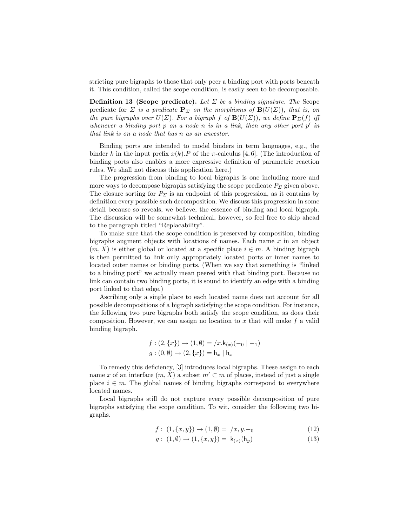stricting pure bigraphs to those that only peer a binding port with ports beneath it. This condition, called the scope condition, is easily seen to be decomposable.

**Definition 13 (Scope predicate).** Let  $\Sigma$  be a binding signature. The Scope predicate for  $\Sigma$  is a predicate  $P_{\Sigma}$  on the morphisms of  $B(U(\Sigma))$ , that is, on the pure bigraphs over  $U(\Sigma)$ . For a bigraph f of  $\mathbf{B}(U(\Sigma))$ , we define  $\mathbf{P}_{\Sigma}(f)$  iff whenever a binding port  $p$  on a node  $n$  is in a link, then any other port  $p'$  in that link is on a node that has n as an ancestor.

Binding ports are intended to model binders in term languages, e.g., the binder k in the input prefix  $x(k)$ . P of the  $\pi$ -calculus [4, 6]. (The introduction of binding ports also enables a more expressive definition of parametric reaction rules. We shall not discuss this application here.)

The progression from binding to local bigraphs is one including more and more ways to decompose bigraphs satisfying the scope predicate  $P_{\Sigma}$  given above. The closure sorting for  $P_{\Sigma}$  is an endpoint of this progression, as it contains by definition every possible such decomposition. We discuss this progression in some detail because so reveals, we believe, the essence of binding and local bigraph. The discussion will be somewhat technical, however, so feel free to skip ahead to the paragraph titled "Replacability".

To make sure that the scope condition is preserved by composition, binding bigraphs augment objects with locations of names. Each name  $x$  in an object  $(m, X)$  is either global or located at a specific place  $i \in m$ . A binding bigraph is then permitted to link only appropriately located ports or inner names to located outer names or binding ports. (When we say that something is "linked to a binding port" we actually mean peered with that binding port. Because no link can contain two binding ports, it is sound to identify an edge with a binding port linked to that edge.)

Ascribing only a single place to each located name does not account for all possible decompositions of a bigraph satisfying the scope condition. For instance, the following two pure bigraphs both satisfy the scope condition, as does their composition. However, we can assign no location to x that will make  $f$  a valid binding bigraph.

$$
f: (2, \{x\}) \to (1, \emptyset) = /x.k_{(x)}(-_0 | -_1)
$$
  

$$
g: (0, \emptyset) \to (2, \{x\}) = h_x | h_x
$$

To remedy this deficiency, [3] introduces local bigraphs. These assign to each name x of an interface  $(m, X)$  a subset  $m' \subset m$  of places, instead of just a single place  $i \in m$ . The global names of binding bigraphs correspond to everywhere located names.

Local bigraphs still do not capture every possible decomposition of pure bigraphs satisfying the scope condition. To wit, consider the following two bigraphs.

$$
f: (1, \{x, y\}) \to (1, \emptyset) = /x, y - 0 \tag{12}
$$

$$
g: (1, \emptyset) \to (1, \{x, y\}) = k_{(x)}(\mathsf{h}_y) \tag{13}
$$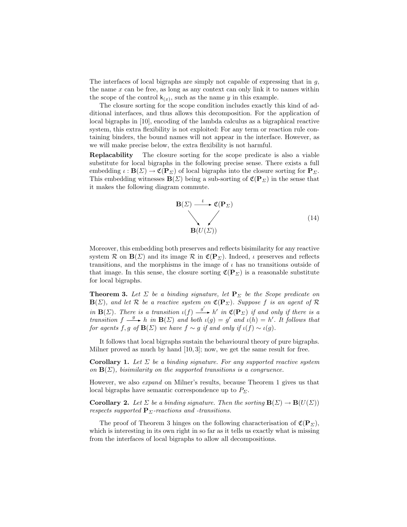The interfaces of local bigraphs are simply not capable of expressing that in  $q$ , the name  $x$  can be free, as long as any context can only link it to names within the scope of the control  $\mathsf{k}_{(x)}$ , such as the name y in this example.

The closure sorting for the scope condition includes exactly this kind of additional interfaces, and thus allows this decomposition. For the application of local bigraphs in [10], encoding of the lambda calculus as a bigraphical reactive system, this extra flexibility is not exploited: For any term or reaction rule containing binders, the bound names will not appear in the interface. However, as we will make precise below, the extra flexibility is not harmful.

Replacability The closure sorting for the scope predicate is also a viable substitute for local bigraphs in the following precise sense. There exists a full embedding  $\iota : \mathbf{B}(\Sigma) \to \mathfrak{C}(\mathbf{P}_{\Sigma})$  of local bigraphs into the closure sorting for  $\mathbf{P}_{\Sigma}$ . This embedding witnesses  $\mathbf{B}(\Sigma)$  being a sub-sorting of  $\mathfrak{C}(\mathbf{P}_{\Sigma})$  in the sense that it makes the following diagram commute.

$$
\mathbf{B}(\Sigma) \xrightarrow{t} \mathfrak{C}(\mathbf{P}_{\Sigma})
$$
\n
$$
\mathbf{B}(U(\Sigma))
$$
\n(14)

Moreover, this embedding both preserves and reflects bisimilarity for any reactive system R on  $\mathbf{B}(\Sigma)$  and its image R in  $\mathfrak{C}(\mathbf{P}_{\Sigma})$ . Indeed,  $\iota$  preserves and reflects transitions, and the morphisms in the image of  $\iota$  has no transitions outside of that image. In this sense, the closure sorting  $\mathfrak{C}(\mathbf{P}_{\Sigma})$  is a reasonable substitute for local bigraphs.

**Theorem 3.** Let  $\Sigma$  be a binding signature, let  $\mathbf{P}_{\Sigma}$  be the Scope predicate on  $\mathbf{B}(\Sigma)$ , and let R be a reactive system on  $\mathfrak{C}(\mathbf{P}_{\Sigma})$ . Suppose f is an agent of R in  $\mathbf{B}(\Sigma)$ . There is a transition  $\iota(f) \xrightarrow{g'} h'$  in  $\mathfrak{C}(\mathbf{P}_{\Sigma})$  if and only if there is a transition  $f \stackrel{g}{\longrightarrow} h$  in  $\mathbf{B}(\Sigma)$  and both  $\iota(g) = g'$  and  $\iota(h) = h'$ . It follows that for agents f, g of  $\mathbf{B}(\Sigma)$  we have  $f \sim g$  if and only if  $\iota(f) \sim \iota(g)$ .

It follows that local bigraphs sustain the behavioural theory of pure bigraphs. Milner proved as much by hand [10, 3]; now, we get the same result for free.

**Corollary 1.** Let  $\Sigma$  be a binding signature. For any supported reactive system on  $\mathbf{B}(\Sigma)$ , bisimilarity on the supported transitions is a congruence.

However, we also expand on Milner's results, because Theorem 1 gives us that local bigraphs have semantic correspondence up to  $P_{\Sigma}$ .

**Corollary 2.** Let  $\Sigma$  be a binding signature. Then the sorting  $\mathbf{B}(\Sigma) \to \mathbf{B}(U(\Sigma))$ respects supported  ${\bf P}_{\Sigma}$ -reactions and -transitions.

The proof of Theorem 3 hinges on the following characterisation of  $\mathfrak{C}(\mathbf{P}_{\Sigma})$ , which is interesting in its own right in so far as it tells us exactly what is missing from the interfaces of local bigraphs to allow all decompositions.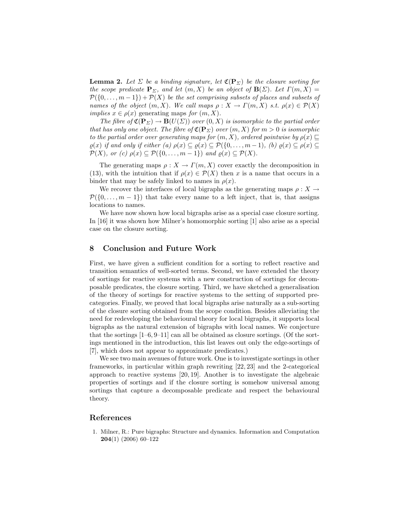**Lemma 2.** Let  $\Sigma$  be a binding signature, let  $\mathfrak{C}(\mathbf{P}_{\Sigma})$  be the closure sorting for the scope predicate  $\mathbf{P}_{\Sigma}$ , and let  $(m, X)$  be an object of  $\mathbf{B}(\Sigma)$ . Let  $\Gamma(m, X) =$  $\mathcal{P}(\{0,\ldots,m-1\})+\mathcal{P}(X)$  be the set comprising subsets of places and subsets of names of the object  $(m, X)$ . We call maps  $\rho : X \to \Gamma(m, X)$  s.t.  $\rho(x) \in \mathcal{P}(X)$ implies  $x \in \rho(x)$  generating maps for  $(m, X)$ .

The fibre of  $\mathfrak{C}(\mathbf{P}_{\Sigma}) \to \mathbf{B}(U(\Sigma))$  over  $(0, X)$  is isomorphic to the partial order that has only one object. The fibre of  $\mathfrak{C}(\mathbf{P}_{\Sigma})$  over  $(m, X)$  for  $m > 0$  is isomorphic to the partial order over generating maps for  $(m, X)$ , ordered pointwise by  $\rho(x) \sqsubseteq$  $\rho(x)$  if and only if either (a)  $\rho(x) \subseteq \rho(x) \subseteq \mathcal{P}(\{0,\ldots,m-1), (b)$   $\rho(x) \subseteq \rho(x) \subseteq \rho(x)$  $\mathcal{P}(X)$ , or (c)  $\rho(x) \subseteq \mathcal{P}(\{0,\ldots,m-1\})$  and  $\rho(x) \subseteq \mathcal{P}(X)$ .

The generating maps  $\rho: X \to \Gamma(m, X)$  cover exactly the decomposition in (13), with the intuition that if  $\rho(x) \in \mathcal{P}(X)$  then x is a name that occurs in a binder that may be safely linked to names in  $\rho(x)$ .

We recover the interfaces of local bigraphs as the generating maps  $\rho: X \to$  $\mathcal{P}(\{0,\ldots,m-1\})$  that take every name to a left inject, that is, that assigns locations to names.

We have now shown how local bigraphs arise as a special case closure sorting. In [16] it was shown how Milner's homomorphic sorting [1] also arise as a special case on the closure sorting.

# 8 Conclusion and Future Work

First, we have given a sufficient condition for a sorting to reflect reactive and transition semantics of well-sorted terms. Second, we have extended the theory of sortings for reactive systems with a new construction of sortings for decomposable predicates, the closure sorting. Third, we have sketched a generalisation of the theory of sortings for reactive systems to the setting of supported precategories. Finally, we proved that local bigraphs arise naturally as a sub-sorting of the closure sorting obtained from the scope condition. Besides alleviating the need for redeveloping the behavioural theory for local bigraphs, it supports local bigraphs as the natural extension of bigraphs with local names. We conjecture that the sortings  $[1-6, 9-11]$  can all be obtained as closure sortings. (Of the sortings mentioned in the introduction, this list leaves out only the edge-sortings of [7], which does not appear to approximate predicates.)

We see two main avenues of future work. One is to investigate sortings in other frameworks, in particular within graph rewriting [22, 23] and the 2-categorical approach to reactive systems [20, 19]. Another is to investigate the algebraic properties of sortings and if the closure sorting is somehow universal among sortings that capture a decomposable predicate and respect the behavioural theory.

# References

1. Milner, R.: Pure bigraphs: Structure and dynamics. Information and Computation 204(1) (2006) 60–122